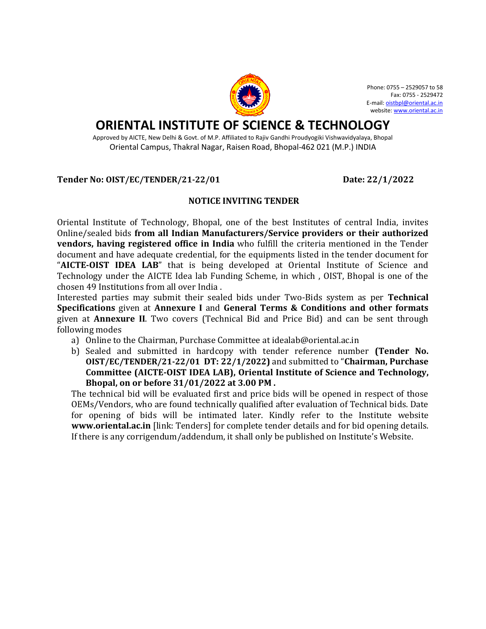

Phone: 0755 – 2529057 to 58 Fax: 0755 - 2529472 E-mail[: oistbpl@oriental.ac.in](mailto:oistbpl@oriental.ac.in) website[: www.oriental.ac.in](http://www.oriental.ac.in/)

# **ORIENTAL INSTITUTE OF SCIENCE & TECHNOLOGY**

Approved by AICTE, New Delhi & Govt. of M.P. Affiliated to Rajiv Gandhi Proudyogiki Vishwavidyalaya, Bhopal Oriental Campus, Thakral Nagar, Raisen Road, Bhopal-462 021 (M.P.) INDIA

**Tender No: OIST/EC/TENDER/21-22/01 Date: 22/1/2022**

#### **NOTICE INVITING TENDER**

Oriental Institute of Technology, Bhopal, one of the best Institutes of central India, invites Online/sealed bids **from all Indian Manufacturers/Service providers or their authorized vendors, having registered office in India** who fulfill the criteria mentioned in the Tender document and have adequate credential, for the equipments listed in the tender document for "**AICTE-OIST IDEA LAB**" that is being developed at Oriental Institute of Science and Technology under the AICTE Idea lab Funding Scheme, in which , OIST, Bhopal is one of the chosen 49 Institutions from all over India .

Interested parties may submit their sealed bids under Two-Bids system as per **Technical Specifications** given at **Annexure I** and **General Terms & Conditions and other formats**  given at **Annexure II**. Two covers (Technical Bid and Price Bid) and can be sent through following modes

- a) Online to the Chairman, Purchase Committee at idealab@oriental.ac.in
- b) Sealed and submitted in hardcopy with tender reference number **(Tender No. OIST/EC/TENDER/21-22/01 DT: 22/1/2022)** and submitted to "**Chairman, Purchase Committee (AICTE-OIST IDEA LAB), Oriental Institute of Science and Technology, Bhopal, on or before 31/01/2022 at 3.00 PM .**

The technical bid will be evaluated first and price bids will be opened in respect of those OEMs/Vendors, who are found technically qualified after evaluation of Technical bids. Date for opening of bids will be intimated later. Kindly refer to the Institute website **www.oriental.ac.in** [link: Tenders] for complete tender details and for bid opening details. If there is any corrigendum/addendum, it shall only be published on Institute's Website.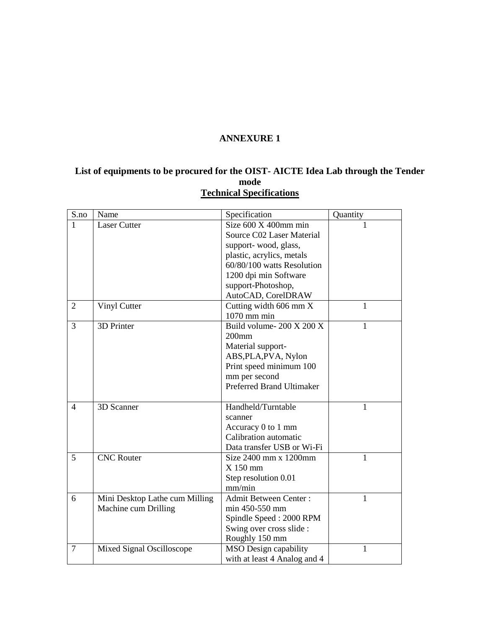### **ANNEXURE 1**

#### **List of equipments to be procured for the OIST- AICTE Idea Lab through the Tender mode Technical Specifications**

| S.no           | Name                           | Specification                | Quantity |
|----------------|--------------------------------|------------------------------|----------|
| 1              | <b>Laser Cutter</b>            | Size $600 \times 400$ mm min |          |
|                |                                | Source C02 Laser Material    |          |
|                |                                | support-wood, glass,         |          |
|                |                                | plastic, acrylics, metals    |          |
|                |                                | 60/80/100 watts Resolution   |          |
|                |                                | 1200 dpi min Software        |          |
|                |                                | support-Photoshop,           |          |
|                |                                | AutoCAD, CorelDRAW           |          |
| 2              | Vinyl Cutter                   | Cutting width 606 mm X       | 1        |
|                |                                | $1070$ mm min                |          |
| 3              | 3D Printer                     | Build volume-200 X 200 X     | 1        |
|                |                                | $200$ mm                     |          |
|                |                                | Material support-            |          |
|                |                                | ABS, PLA, PVA, Nylon         |          |
|                |                                | Print speed minimum 100      |          |
|                |                                | mm per second                |          |
|                |                                | Preferred Brand Ultimaker    |          |
|                |                                |                              |          |
| $\overline{4}$ | 3D Scanner                     | Handheld/Turntable           | 1        |
|                |                                | scanner                      |          |
|                |                                | Accuracy 0 to 1 mm           |          |
|                |                                | Calibration automatic        |          |
|                |                                | Data transfer USB or Wi-Fi   |          |
| 5              | <b>CNC Router</b>              | Size 2400 mm x 1200mm        | 1        |
|                |                                | $X$ 150 mm                   |          |
|                |                                | Step resolution 0.01         |          |
|                |                                | mm/min                       |          |
| 6              | Mini Desktop Lathe cum Milling | <b>Admit Between Center:</b> | 1        |
|                | Machine cum Drilling           | min 450-550 mm               |          |
|                |                                | Spindle Speed: 2000 RPM      |          |
|                |                                | Swing over cross slide :     |          |
|                |                                | Roughly 150 mm               |          |
| $\overline{7}$ | Mixed Signal Oscilloscope      | <b>MSO</b> Design capability | 1        |
|                |                                | with at least 4 Analog and 4 |          |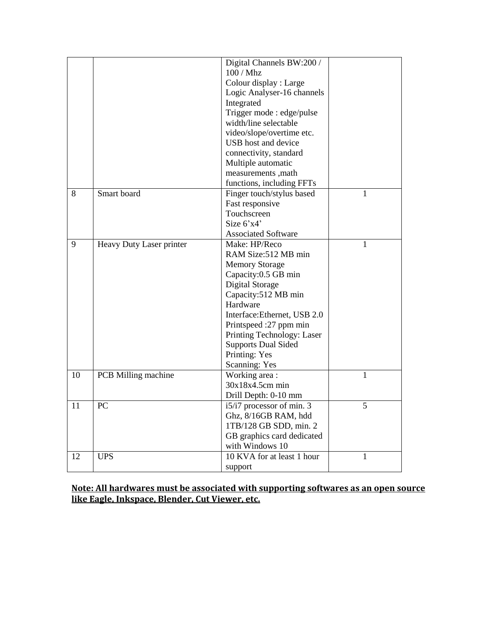|    |                          | Digital Channels BW:200 /    |              |
|----|--------------------------|------------------------------|--------------|
|    |                          | 100 / Mhz                    |              |
|    |                          | Colour display : Large       |              |
|    |                          | Logic Analyser-16 channels   |              |
|    |                          | Integrated                   |              |
|    |                          | Trigger mode : edge/pulse    |              |
|    |                          | width/line selectable        |              |
|    |                          | video/slope/overtime etc.    |              |
|    |                          | USB host and device          |              |
|    |                          | connectivity, standard       |              |
|    |                          | Multiple automatic           |              |
|    |                          | measurements , math          |              |
|    |                          | functions, including FFTs    |              |
| 8  | Smart board              | Finger touch/stylus based    | 1            |
|    |                          | Fast responsive              |              |
|    |                          | Touchscreen                  |              |
|    |                          | Size 6'x4'                   |              |
|    |                          | <b>Associated Software</b>   |              |
| 9  | Heavy Duty Laser printer | Make: HP/Reco                | 1            |
|    |                          | RAM Size:512 MB min          |              |
|    |                          | <b>Memory Storage</b>        |              |
|    |                          | Capacity:0.5 GB min          |              |
|    |                          | Digital Storage              |              |
|    |                          | Capacity:512 MB min          |              |
|    |                          | Hardware                     |              |
|    |                          | Interface: Ethernet, USB 2.0 |              |
|    |                          | Printspeed :27 ppm min       |              |
|    |                          | Printing Technology: Laser   |              |
|    |                          | <b>Supports Dual Sided</b>   |              |
|    |                          | Printing: Yes                |              |
|    |                          | <b>Scanning: Yes</b>         |              |
| 10 | PCB Milling machine      | Working area:                | $\mathbf{1}$ |
|    |                          | 30x18x4.5cm min              |              |
|    |                          | Drill Depth: 0-10 mm         |              |
| 11 | PC                       | i5/i7 processor of min. 3    | 5            |
|    |                          | Ghz, 8/16GB RAM, hdd         |              |
|    |                          | 1TB/128 GB SDD, min. 2       |              |
|    |                          | GB graphics card dedicated   |              |
|    |                          | with Windows 10              |              |
| 12 | <b>UPS</b>               | 10 KVA for at least 1 hour   | 1            |
|    |                          | support                      |              |

**Note: All hardwares must be associated with supporting softwares as an open source like Eagle, Inkspace, Blender, Cut Viewer, etc.**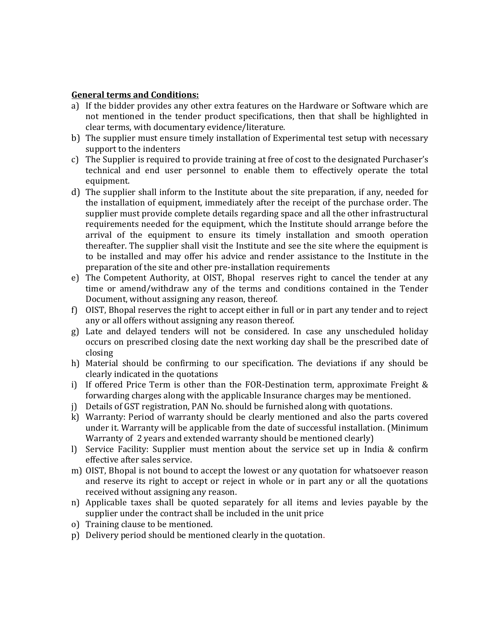#### **General terms and Conditions:**

- a) If the bidder provides any other extra features on the Hardware or Software which are not mentioned in the tender product specifications, then that shall be highlighted in clear terms, with documentary evidence/literature.
- b) The supplier must ensure timely installation of Experimental test setup with necessary support to the indenters
- c) The Supplier is required to provide training at free of cost to the designated Purchaser's technical and end user personnel to enable them to effectively operate the total equipment.
- d) The supplier shall inform to the Institute about the site preparation, if any, needed for the installation of equipment, immediately after the receipt of the purchase order. The supplier must provide complete details regarding space and all the other infrastructural requirements needed for the equipment, which the Institute should arrange before the arrival of the equipment to ensure its timely installation and smooth operation thereafter. The supplier shall visit the Institute and see the site where the equipment is to be installed and may offer his advice and render assistance to the Institute in the preparation of the site and other pre-installation requirements
- e) The Competent Authority, at OIST, Bhopal reserves right to cancel the tender at any time or amend/withdraw any of the terms and conditions contained in the Tender Document, without assigning any reason, thereof.
- f) OIST, Bhopal reserves the right to accept either in full or in part any tender and to reject any or all offers without assigning any reason thereof.
- g) Late and delayed tenders will not be considered. In case any unscheduled holiday occurs on prescribed closing date the next working day shall be the prescribed date of closing
- h) Material should be confirming to our specification. The deviations if any should be clearly indicated in the quotations
- i) If offered Price Term is other than the FOR-Destination term, approximate Freight & forwarding charges along with the applicable Insurance charges may be mentioned.
- j) Details of GST registration, PAN No. should be furnished along with quotations.
- k) Warranty: Period of warranty should be clearly mentioned and also the parts covered under it. Warranty will be applicable from the date of successful installation. (Minimum Warranty of 2 years and extended warranty should be mentioned clearly)
- l) Service Facility: Supplier must mention about the service set up in India & confirm effective after sales service.
- m) OIST, Bhopal is not bound to accept the lowest or any quotation for whatsoever reason and reserve its right to accept or reject in whole or in part any or all the quotations received without assigning any reason.
- n) Applicable taxes shall be quoted separately for all items and levies payable by the supplier under the contract shall be included in the unit price
- o) Training clause to be mentioned.
- p) Delivery period should be mentioned clearly in the quotation.